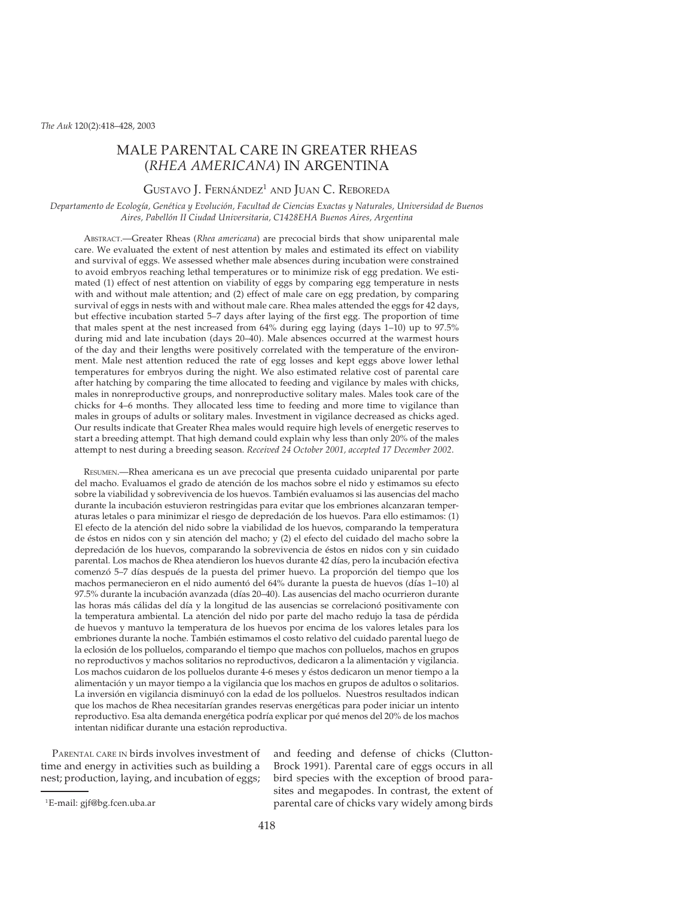# MALE PARENTAL CARE IN GREATER RHEAS (*RHEA AMERICANA*) IN ARGENTINA

## GUSTAVO J. FERNÁNDEZ<sup>1</sup> AND JUAN C. REBOREDA

*Departamento de Ecología, Genética y Evolución, Facultad de Ciencias Exactas y Naturales, Universidad de Buenos Aires, Pabellón II Ciudad Universitaria, C1428EHA Buenos Aires, Argentina*

ABSTRACT.—Greater Rheas (*Rhea americana*) are precocial birds that show uniparental male care. We evaluated the extent of nest attention by males and estimated its effect on viability and survival of eggs. We assessed whether male absences during incubation were constrained to avoid embryos reaching lethal temperatures or to minimize risk of egg predation. We estimated (1) effect of nest attention on viability of eggs by comparing egg temperature in nests with and without male attention; and (2) effect of male care on egg predation, by comparing survival of eggs in nests with and without male care. Rhea males attended the eggs for 42 days, but effective incubation started 5–7 days after laying of the first egg. The proportion of time that males spent at the nest increased from 64% during egg laying (days 1–10) up to 97.5% during mid and late incubation (days 20–40). Male absences occurred at the warmest hours of the day and their lengths were positively correlated with the temperature of the environment. Male nest attention reduced the rate of egg losses and kept eggs above lower lethal temperatures for embryos during the night. We also estimated relative cost of parental care after hatching by comparing the time allocated to feeding and vigilance by males with chicks, males in nonreproductive groups, and nonreproductive solitary males. Males took care of the chicks for 4–6 months. They allocated less time to feeding and more time to vigilance than males in groups of adults or solitary males. Investment in vigilance decreased as chicks aged. Our results indicate that Greater Rhea males would require high levels of energetic reserves to start a breeding attempt. That high demand could explain why less than only 20% of the males attempt to nest during a breeding season. *Received 24 October 2001, accepted 17 December 2002*.

RESUMEN.—Rhea americana es un ave precocial que presenta cuidado uniparental por parte del macho. Evaluamos el grado de atención de los machos sobre el nido y estimamos su efecto sobre la viabilidad y sobrevivencia de los huevos. También evaluamos si las ausencias del macho durante la incubación estuvieron restringidas para evitar que los embriones alcanzaran temperaturas letales o para minimizar el riesgo de depredación de los huevos. Para ello estimamos: (1) El efecto de la atención del nido sobre la viabilidad de los huevos, comparando la temperatura de éstos en nidos con y sin atención del macho; y (2) el efecto del cuidado del macho sobre la depredación de los huevos, comparando la sobrevivencia de éstos en nidos con y sin cuidado parental. Los machos de Rhea atendieron los huevos durante 42 días, pero la incubación efectiva comenzó 5–7 días después de la puesta del primer huevo. La proporción del tiempo que los machos permanecieron en el nido aumentó del 64% durante la puesta de huevos (días 1–10) al 97.5% durante la incubación avanzada (días 20–40). Las ausencias del macho ocurrieron durante las horas más cálidas del día y la longitud de las ausencias se correlacionó positivamente con la temperatura ambiental. La atención del nido por parte del macho redujo la tasa de pérdida de huevos y mantuvo la temperatura de los huevos por encima de los valores letales para los embriones durante la noche. También estimamos el costo relativo del cuidado parental luego de la eclosión de los polluelos, comparando el tiempo que machos con polluelos, machos en grupos no reproductivos y machos solitarios no reproductivos, dedicaron a la alimentación y vigilancia. Los machos cuidaron de los polluelos durante 4-6 meses y éstos dedicaron un menor tiempo a la alimentación y un mayor tiempo a la vigilancia que los machos en grupos de adultos o solitarios. La inversión en vigilancia disminuyó con la edad de los polluelos. Nuestros resultados indican que los machos de Rhea necesitarían grandes reservas energéticas para poder iniciar un intento reproductivo. Esa alta demanda energética podría explicar por qué menos del 20% de los machos intentan nidificar durante una estación reproductiva.

PARENTAL CARE IN birds involves investment of time and energy in activities such as building a nest; production, laying, and incubation of eggs; and feeding and defense of chicks (Clutton-Brock 1991). Parental care of eggs occurs in all bird species with the exception of brood parasites and megapodes. In contrast, the extent of parental care of chicks vary widely among birds

<sup>1</sup>E-mail: gjf@bg.fcen.uba.ar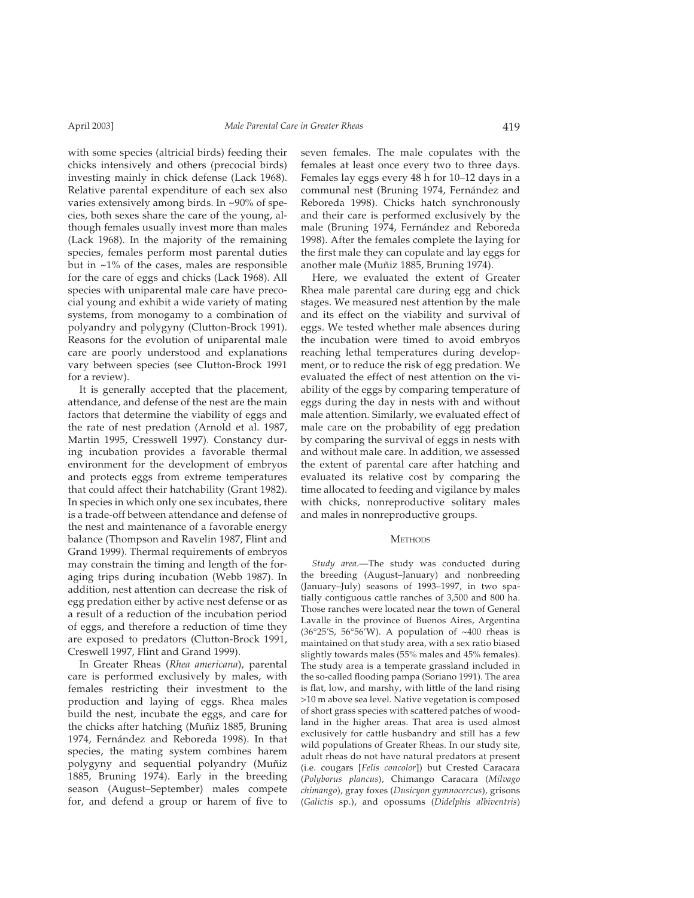with some species (altricial birds) feeding their chicks intensively and others (precocial birds) investing mainly in chick defense (Lack 1968). Relative parental expenditure of each sex also varies extensively among birds. In ~90% of species, both sexes share the care of the young, although females usually invest more than males (Lack 1968). In the majority of the remaining species, females perform most parental duties but in  $\sim$ 1% of the cases, males are responsible for the care of eggs and chicks (Lack 1968). All species with uniparental male care have precocial young and exhibit a wide variety of mating systems, from monogamy to a combination of polyandry and polygyny (Clutton-Brock 1991). Reasons for the evolution of uniparental male care are poorly understood and explanations vary between species (see Clutton-Brock 1991 for a review).

It is generally accepted that the placement, attendance, and defense of the nest are the main factors that determine the viability of eggs and the rate of nest predation (Arnold et al. 1987, Martin 1995, Cresswell 1997). Constancy during incubation provides a favorable thermal environment for the development of embryos and protects eggs from extreme temperatures that could affect their hatchability (Grant 1982). In species in which only one sex incubates, there is a trade-off between attendance and defense of the nest and maintenance of a favorable energy balance (Thompson and Ravelin 1987, Flint and Grand 1999). Thermal requirements of embryos may constrain the timing and length of the foraging trips during incubation (Webb 1987). In addition, nest attention can decrease the risk of egg predation either by active nest defense or as a result of a reduction of the incubation period of eggs, and therefore a reduction of time they are exposed to predators (Clutton-Brock 1991, Creswell 1997, Flint and Grand 1999).

In Greater Rheas (*Rhea americana*), parental care is performed exclusively by males, with females restricting their investment to the production and laying of eggs. Rhea males build the nest, incubate the eggs, and care for the chicks after hatching (Muñiz 1885, Bruning 1974, Fernández and Reboreda 1998). In that species, the mating system combines harem polygyny and sequential polyandry (Muñiz 1885, Bruning 1974). Early in the breeding season (August–September) males compete for, and defend a group or harem of five to seven females. The male copulates with the females at least once every two to three days. Females lay eggs every 48 h for 10–12 days in a communal nest (Bruning 1974, Fernández and Reboreda 1998). Chicks hatch synchronously and their care is performed exclusively by the male (Bruning 1974, Fernández and Reboreda 1998). After the females complete the laying for the first male they can copulate and lay eggs for another male (Muñiz 1885, Bruning 1974).

Here, we evaluated the extent of Greater Rhea male parental care during egg and chick stages. We measured nest attention by the male and its effect on the viability and survival of eggs. We tested whether male absences during the incubation were timed to avoid embryos reaching lethal temperatures during development, or to reduce the risk of egg predation. We evaluated the effect of nest attention on the viability of the eggs by comparing temperature of eggs during the day in nests with and without male attention. Similarly, we evaluated effect of male care on the probability of egg predation by comparing the survival of eggs in nests with and without male care. In addition, we assessed the extent of parental care after hatching and evaluated its relative cost by comparing the time allocated to feeding and vigilance by males with chicks, nonreproductive solitary males and males in nonreproductive groups.

#### **METHODS**

*Study area*.—The study was conducted during the breeding (August–January) and nonbreeding (January–July) seasons of 1993–1997, in two spatially contiguous cattle ranches of 3,500 and 800 ha. Those ranches were located near the town of General Lavalle in the province of Buenos Aires, Argentina (36 $\degree$ 25'S, 56 $\degree$ 56'W). A population of ~400 rheas is maintained on that study area, with a sex ratio biased slightly towards males (55% males and 45% females). The study area is a temperate grassland included in the so-called flooding pampa (Soriano 1991). The area is flat, low, and marshy, with little of the land rising >10 m above sea level. Native vegetation is composed of short grass species with scattered patches of woodland in the higher areas. That area is used almost exclusively for cattle husbandry and still has a few wild populations of Greater Rheas. In our study site, adult rheas do not have natural predators at present (i.e. cougars [*Felis concolor*]) but Crested Caracara (*Polyborus plancus*), Chimango Caracara (*Milvago chimango*), gray foxes (*Dusicyon gymnocercus*), grisons (*Galictis* sp.), and opossums (*Didelphis albiventris*)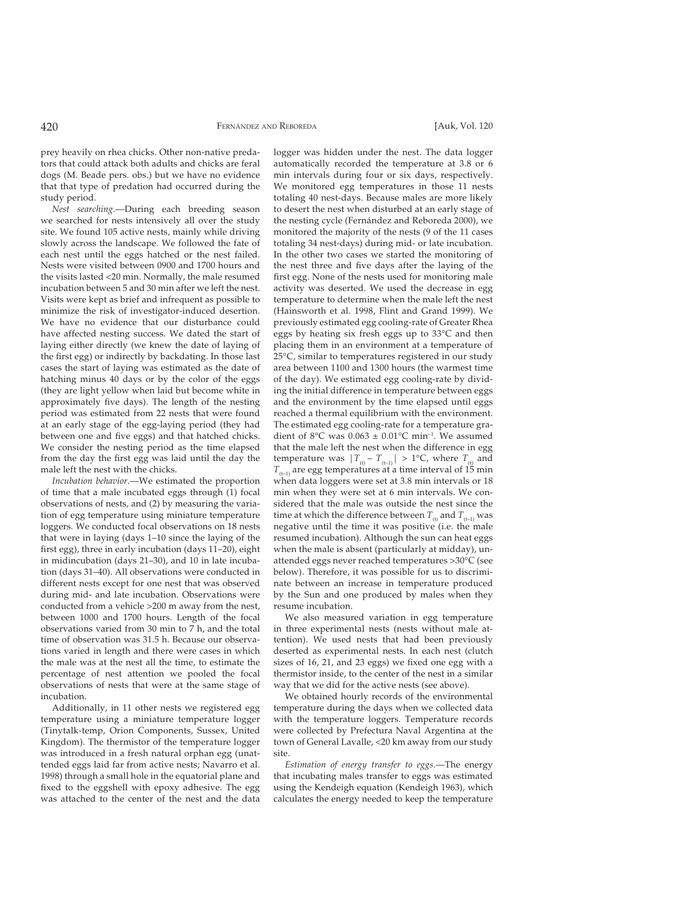prey heavily on rhea chicks. Other non-native predators that could attack both adults and chicks are feral dogs (M. Beade pers. obs.) but we have no evidence that that type of predation had occurred during the study period.

*Nest searching*.—During each breeding season we searched for nests intensively all over the study site. We found 105 active nests, mainly while driving slowly across the landscape. We followed the fate of each nest until the eggs hatched or the nest failed. Nests were visited between 0900 and 1700 hours and the visits lasted <20 min. Normally, the male resumed incubation between 5 and 30 min after we left the nest. Visits were kept as brief and infrequent as possible to minimize the risk of investigator-induced desertion. We have no evidence that our disturbance could have affected nesting success. We dated the start of laying either directly (we knew the date of laying of the first egg) or indirectly by backdating. In those last cases the start of laying was estimated as the date of hatching minus 40 days or by the color of the eggs (they are light yellow when laid but become white in approximately five days). The length of the nesting period was estimated from 22 nests that were found at an early stage of the egg-laying period (they had between one and five eggs) and that hatched chicks. We consider the nesting period as the time elapsed from the day the first egg was laid until the day the male left the nest with the chicks.

*Incubation behavior*.—We estimated the proportion of time that a male incubated eggs through (1) focal observations of nests, and (2) by measuring the variation of egg temperature using miniature temperature loggers. We conducted focal observations on 18 nests that were in laying (days 1–10 since the laying of the first egg), three in early incubation (days 11–20), eight in midincubation (days 21–30), and 10 in late incubation (days 31–40). All observations were conducted in different nests except for one nest that was observed during mid- and late incubation. Observations were conducted from a vehicle >200 m away from the nest, between 1000 and 1700 hours. Length of the focal observations varied from 30 min to 7 h, and the total time of observation was 31.5 h. Because our observations varied in length and there were cases in which the male was at the nest all the time, to estimate the percentage of nest attention we pooled the focal observations of nests that were at the same stage of incubation.

Additionally, in 11 other nests we registered egg temperature using a miniature temperature logger (Tinytalk-temp, Orion Components, Sussex, United Kingdom). The thermistor of the temperature logger was introduced in a fresh natural orphan egg (unattended eggs laid far from active nests; Navarro et al. 1998) through a small hole in the equatorial plane and fixed to the eggshell with epoxy adhesive. The egg was attached to the center of the nest and the data

logger was hidden under the nest. The data logger automatically recorded the temperature at 3.8 or 6 min intervals during four or six days, respectively. We monitored egg temperatures in those 11 nests totaling 40 nest-days. Because males are more likely to desert the nest when disturbed at an early stage of the nesting cycle (Fernández and Reboreda 2000), we monitored the majority of the nests (9 of the 11 cases totaling 34 nest-days) during mid- or late incubation. In the other two cases we started the monitoring of the nest three and five days after the laying of the first egg. None of the nests used for monitoring male activity was deserted. We used the decrease in egg temperature to determine when the male left the nest (Hainsworth et al. 1998, Flint and Grand 1999). We previously estimated egg cooling-rate of Greater Rhea eggs by heating six fresh eggs up to 33°C and then placing them in an environment at a temperature of 25°C, similar to temperatures registered in our study area between 1100 and 1300 hours (the warmest time of the day). We estimated egg cooling-rate by dividing the initial difference in temperature between eggs and the environment by the time elapsed until eggs reached a thermal equilibrium with the environment. The estimated egg cooling-rate for a temperature gradient of 8°C was  $0.063 \pm 0.01$ °C min<sup>-1</sup>. We assumed that the male left the nest when the difference in egg temperature was  $|T_{(t)} - T_{(t-1)}| > 1$ °C, where  $T_{(t)}$  and  $T_{(t-1)}$  are egg temperatures at a time interval of 15 min when data loggers were set at 3.8 min intervals or 18 min when they were set at 6 min intervals. We considered that the male was outside the nest since the time at which the difference between  $T_{(t)}$  and  $T_{(t-1)}$  was negative until the time it was positive (i.e. the male resumed incubation). Although the sun can heat eggs when the male is absent (particularly at midday), unattended eggs never reached temperatures >30°C (see below). Therefore, it was possible for us to discriminate between an increase in temperature produced by the Sun and one produced by males when they resume incubation.

We also measured variation in egg temperature in three experimental nests (nests without male attention). We used nests that had been previously deserted as experimental nests. In each nest (clutch sizes of  $16$ ,  $21$ , and  $23$  eggs) we fixed one egg with a thermistor inside, to the center of the nest in a similar way that we did for the active nests (see above).

We obtained hourly records of the environmental temperature during the days when we collected data with the temperature loggers. Temperature records were collected by Prefectura Naval Argentina at the town of General Lavalle, <20 km away from our study site.

*Estimation of energy transfer to eggs*.—The energy that incubating males transfer to eggs was estimated using the Kendeigh equation (Kendeigh 1963), which calculates the energy needed to keep the temperature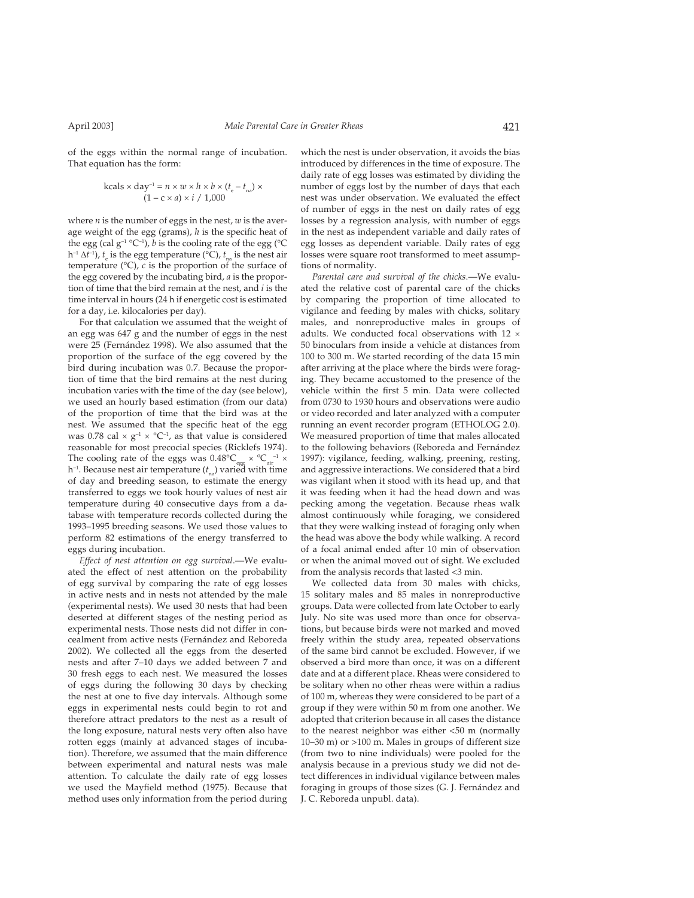of the eggs within the normal range of incubation. That equation has the form:

kcals × day<sup>-1</sup> = 
$$
n \times w \times h \times b \times (t_e - t_{na}) \times (1 - c \times a) \times i / 1,000
$$

where *n* is the number of eggs in the nest, *w* is the average weight of the egg (grams), h is the specific heat of the egg (cal  $g^{-1}$  °C<sup>-1</sup>), *b* is the cooling rate of the egg (°C  $h^{-1} \Delta t^{-1}$ ),  $t_e$  is the egg temperature (°C),  $t_{\text{na}}$  is the nest air temperature  $(^{\circ}C)$ , *c* is the proportion of the surface of the egg covered by the incubating bird, *a* is the proportion of time that the bird remain at the nest, and *i* is the time interval in hours (24 h if energetic cost is estimated for a day, i.e. kilocalories per day).

For that calculation we assumed that the weight of an egg was 647 g and the number of eggs in the nest were 25 (Fernández 1998). We also assumed that the proportion of the surface of the egg covered by the bird during incubation was 0.7. Because the proportion of time that the bird remains at the nest during incubation varies with the time of the day (see below), we used an hourly based estimation (from our data) of the proportion of time that the bird was at the nest. We assumed that the specific heat of the egg was 0.78 cal  $\times$  g<sup>-1</sup>  $\times$  °C<sup>-1</sup>, as that value is considered reasonable for most precocial species (Ricklefs 1974). The cooling rate of the eggs was  $0.48^{\circ}\text{C}_{\text{egg}} \times \text{°C}_{\text{air}}$ <sup>-1</sup>  $\times$  $h^{-1}$ . Because nest air temperature  $(t_{na})$  varied with time of day and breeding season, to estimate the energy transferred to eggs we took hourly values of nest air temperature during 40 consecutive days from a database with temperature records collected during the 1993–1995 breeding seasons. We used those values to perform 82 estimations of the energy transferred to eggs during incubation.

*Effect of nest attention on egg survival*.—We evaluated the effect of nest attention on the probability of egg survival by comparing the rate of egg losses in active nests and in nests not attended by the male (experimental nests). We used 30 nests that had been deserted at different stages of the nesting period as experimental nests. Those nests did not differ in concealment from active nests (Fernández and Reboreda 2002). We collected all the eggs from the deserted nests and after 7–10 days we added between 7 and 30 fresh eggs to each nest. We measured the losses of eggs during the following 30 days by checking the nest at one to five day intervals. Although some eggs in experimental nests could begin to rot and therefore attract predators to the nest as a result of the long exposure, natural nests very often also have rotten eggs (mainly at advanced stages of incubation). Therefore, we assumed that the main difference between experimental and natural nests was male attention. To calculate the daily rate of egg losses we used the Mayfield method (1975). Because that method uses only information from the period during which the nest is under observation, it avoids the bias introduced by differences in the time of exposure. The daily rate of egg losses was estimated by dividing the number of eggs lost by the number of days that each nest was under observation. We evaluated the effect of number of eggs in the nest on daily rates of egg losses by a regression analysis, with number of eggs in the nest as independent variable and daily rates of egg losses as dependent variable. Daily rates of egg losses were square root transformed to meet assumptions of normality.

*Parental care and survival of the chicks*.—We evaluated the relative cost of parental care of the chicks by comparing the proportion of time allocated to vigilance and feeding by males with chicks, solitary males, and nonreproductive males in groups of adults. We conducted focal observations with 12  $\times$ 50 binoculars from inside a vehicle at distances from 100 to 300 m. We started recording of the data 15 min after arriving at the place where the birds were foraging. They became accustomed to the presence of the vehicle within the first 5 min. Data were collected from 0730 to 1930 hours and observations were audio or video recorded and later analyzed with a computer running an event recorder program (ETHOLOG 2.0). We measured proportion of time that males allocated to the following behaviors (Reboreda and Fernández 1997): vigilance, feeding, walking, preening, resting, and aggressive interactions. We considered that a bird was vigilant when it stood with its head up, and that it was feeding when it had the head down and was pecking among the vegetation. Because rheas walk almost continuously while foraging, we considered that they were walking instead of foraging only when the head was above the body while walking. A record of a focal animal ended after 10 min of observation or when the animal moved out of sight. We excluded from the analysis records that lasted <3 min.

We collected data from 30 males with chicks, 15 solitary males and 85 males in nonreproductive groups. Data were collected from late October to early July. No site was used more than once for observations, but because birds were not marked and moved freely within the study area, repeated observations of the same bird cannot be excluded. However, if we observed a bird more than once, it was on a different date and at a different place. Rheas were considered to be solitary when no other rheas were within a radius of 100 m, whereas they were considered to be part of a group if they were within 50 m from one another. We adopted that criterion because in all cases the distance to the nearest neighbor was either <50 m (normally 10–30 m) or >100 m. Males in groups of different size (from two to nine individuals) were pooled for the analysis because in a previous study we did not detect differences in individual vigilance between males foraging in groups of those sizes (G. J. Fernández and J. C. Reboreda unpubl. data).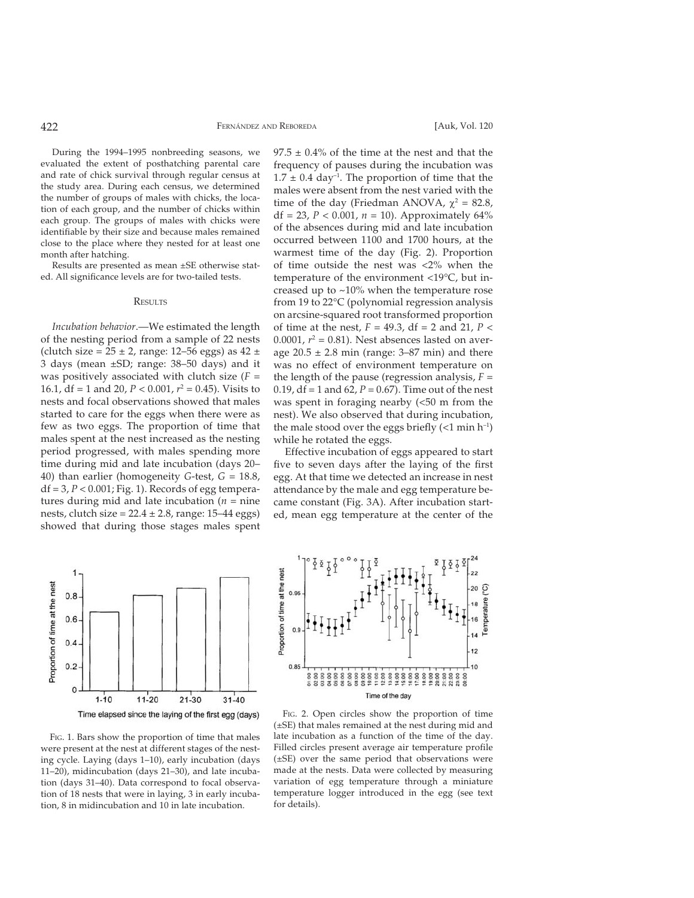During the 1994–1995 nonbreeding seasons, we evaluated the extent of posthatching parental care and rate of chick survival through regular census at the study area. During each census, we determined the number of groups of males with chicks, the location of each group, and the number of chicks within each group. The groups of males with chicks were identifiable by their size and because males remained close to the place where they nested for at least one month after hatching.

Results are presented as mean ±SE otherwise stated. All significance levels are for two-tailed tests.

#### **RESULTS**

*Incubation behavior*.—We estimated the length of the nesting period from a sample of 22 nests (clutch size =  $25 \pm 2$ , range: 12–56 eggs) as  $42 \pm$ 3 days (mean ±SD; range: 38–50 days) and it was positively associated with clutch size  $(F =$ 16.1, df = 1 and 20, *P* < 0.001, *r*<sup>2</sup> = 0.45). Visits to nests and focal observations showed that males started to care for the eggs when there were as few as two eggs. The proportion of time that males spent at the nest increased as the nesting period progressed, with males spending more time during mid and late incubation (days 20– 40) than earlier (homogeneity *G*-test, *G* = 18.8, df = 3, *P* < 0.001; Fig. 1). Records of egg temperatures during mid and late incubation  $(n =$  nine nests, clutch size =  $22.4 \pm 2.8$ , range: 15–44 eggs) showed that during those stages males spent



FIG. 1. Bars show the proportion of time that males were present at the nest at different stages of the nesting cycle. Laying (days 1–10), early incubation (days 11–20), midincubation (days 21–30), and late incubation (days 31–40). Data correspond to focal observation of 18 nests that were in laying, 3 in early incubation, 8 in midincubation and 10 in late incubation.

 $97.5 \pm 0.4\%$  of the time at the nest and that the frequency of pauses during the incubation was  $1.7 \pm 0.4$  day<sup>-1</sup>. The proportion of time that the males were absent from the nest varied with the time of the day (Friedman ANOVA,  $\chi^2 = 82.8$ , df = 23,  $P < 0.001$ ,  $n = 10$ ). Approximately 64% of the absences during mid and late incubation occurred between 1100 and 1700 hours, at the warmest time of the day (Fig. 2). Proportion of time outside the nest was <2% when the temperature of the environment <19°C, but increased up to ~10% when the temperature rose from 19 to 22°C (polynomial regression analysis on arcsine-squared root transformed proportion of time at the nest,  $F = 49.3$ , df = 2 and 21,  $P <$  $0.0001, r<sup>2</sup> = 0.81$ ). Nest absences lasted on average  $20.5 \pm 2.8$  min (range: 3–87 min) and there was no effect of environment temperature on the length of the pause (regression analysis,  $F =$ 0.19,  $df = 1$  and 62,  $P = 0.67$ ). Time out of the nest was spent in foraging nearby (<50 m from the nest). We also observed that during incubation, the male stood over the eggs briefly  $(<1$  min h<sup>-1</sup>) while he rotated the eggs.

Effective incubation of eggs appeared to start five to seven days after the laying of the first egg. At that time we detected an increase in nest attendance by the male and egg temperature became constant (Fig. 3A). After incubation started, mean egg temperature at the center of the



F<sub>IG</sub>. 2. Open circles show the proportion of time (±SE) that males remained at the nest during mid and late incubation as a function of the time of the day. Filled circles present average air temperature profile (±SE) over the same period that observations were made at the nests. Data were collected by measuring variation of egg temperature through a miniature temperature logger introduced in the egg (see text for details).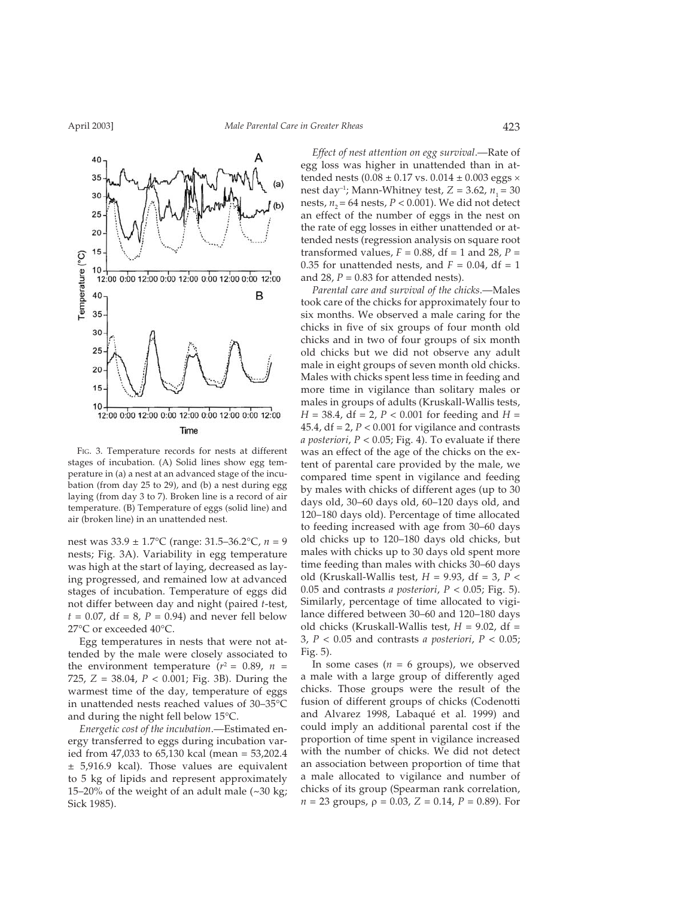

FIG. 3. Temperature records for nests at different stages of incubation. (A) Solid lines show egg temperature in (a) a nest at an advanced stage of the incubation (from day 25 to 29), and (b) a nest during egg laying (from day 3 to 7). Broken line is a record of air temperature. (B) Temperature of eggs (solid line) and air (broken line) in an unattended nest.

nest was 33.9 ± 1.7°C (range: 31.5–36.2°C, *n* = 9 nests; Fig. 3A). Variability in egg temperature was high at the start of laying, decreased as laying progressed, and remained low at advanced stages of incubation. Temperature of eggs did not differ between day and night (paired *t*-test,  $t = 0.07$ , df = 8,  $P = 0.94$ ) and never fell below 27°C or exceeded 40°C.

Egg temperatures in nests that were not attended by the male were closely associated to the environment temperature  $(r^2 = 0.89, n =$ 725, *Z* = 38.04, *P* < 0.001; Fig. 3B). During the warmest time of the day, temperature of eggs in unattended nests reached values of 30–35°C and during the night fell below 15°C.

*Energetic cost of the incubation*.—Estimated energy transferred to eggs during incubation varied from 47,033 to 65,130 kcal (mean = 53,202.4 ± 5,916.9 kcal). Those values are equivalent to 5 kg of lipids and represent approximately 15–20% of the weight of an adult male  $(-30 \text{ kg})$ ; Sick 1985).

*Effect of nest attention on egg survival*.—Rate of egg loss was higher in unattended than in attended nests ( $0.08 \pm 0.17$  vs.  $0.014 \pm 0.003$  eggs  $\times$ nest day<sup>-1</sup>; Mann-Whitney test,  $Z = 3.62$ ,  $n_1 = 30$ nests,  $n<sub>2</sub> = 64$  nests,  $P < 0.001$ ). We did not detect an effect of the number of eggs in the nest on the rate of egg losses in either unattended or attended nests (regression analysis on square root transformed values,  $F = 0.88$ , df = 1 and 28,  $P =$ 0.35 for unattended nests, and  $F = 0.04$ , df = 1 and 28,  $P = 0.83$  for attended nests).

*Parental care and survival of the chicks*.—Males took care of the chicks for approximately four to six months. We observed a male caring for the chicks in five of six groups of four month old chicks and in two of four groups of six month old chicks but we did not observe any adult male in eight groups of seven month old chicks. Males with chicks spent less time in feeding and more time in vigilance than solitary males or males in groups of adults (Kruskall-Wallis tests, *H* = 38.4, df = 2, *P* < 0.001 for feeding and *H* = 45.4,  $df = 2$ ,  $P < 0.001$  for vigilance and contrasts *a posteriori*, *P* < 0.05; Fig. 4). To evaluate if there was an effect of the age of the chicks on the extent of parental care provided by the male, we compared time spent in vigilance and feeding by males with chicks of different ages (up to 30 days old, 30–60 days old, 60–120 days old, and 120–180 days old). Percentage of time allocated to feeding increased with age from 30–60 days old chicks up to 120–180 days old chicks, but males with chicks up to 30 days old spent more time feeding than males with chicks 30–60 days old (Kruskall-Wallis test, *H* = 9.93, df = 3, *P* < 0.05 and contrasts *a posteriori*,  $P < 0.05$ ; Fig. 5). Similarly, percentage of time allocated to vigilance differed between 30–60 and 120–180 days old chicks (Kruskall-Wallis test, *H* = 9.02, df = 3, *P* < 0.05 and contrasts *a posteriori*, *P* < 0.05; Fig. 5).

In some cases ( $n = 6$  groups), we observed a male with a large group of differently aged chicks. Those groups were the result of the fusion of different groups of chicks (Codenotti and Alvarez 1998, Labaqué et al. 1999) and could imply an additional parental cost if the proportion of time spent in vigilance increased with the number of chicks. We did not detect an association between proportion of time that a male allocated to vigilance and number of chicks of its group (Spearman rank correlation,  $n = 23$  groups,  $\rho = 0.03$ ,  $Z = 0.14$ ,  $P = 0.89$ ). For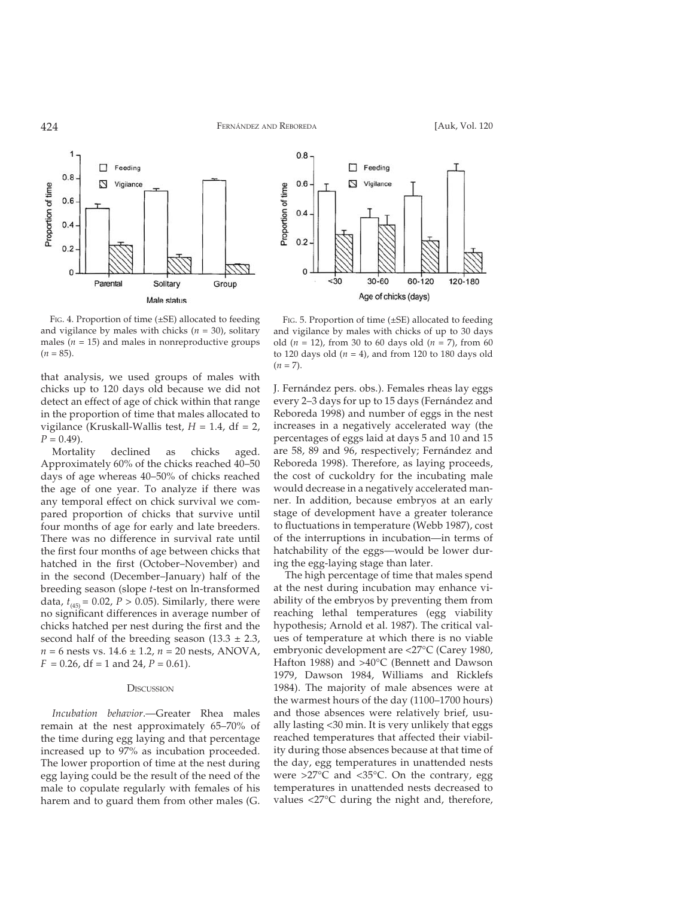



FIG. 4. Proportion of time (±SE) allocated to feeding and vigilance by males with chicks  $(n = 30)$ , solitary males ( $n = 15$ ) and males in nonreproductive groups  $(n = 85)$ .

that analysis, we used groups of males with chicks up to 120 days old because we did not detect an effect of age of chick within that range in the proportion of time that males allocated to vigilance (Kruskall-Wallis test, *H* = 1.4, df = 2,  $P = 0.49$ .

Mortality declined as chicks aged. Approximately 60% of the chicks reached 40–50 days of age whereas 40–50% of chicks reached the age of one year. To analyze if there was any temporal effect on chick survival we compared proportion of chicks that survive until four months of age for early and late breeders. There was no difference in survival rate until the first four months of age between chicks that hatched in the first (October–November) and in the second (December–January) half of the breeding season (slope *t*-test on ln-transformed data,  $t_{(45)} = 0.02$ ,  $P > 0.05$ ). Similarly, there were no significant differences in average number of chicks hatched per nest during the first and the second half of the breeding season  $(13.3 \pm 2.3,$ *n* = 6 nests vs. 14.6 ± 1.2, *n* = 20 nests, ANOVA,  $F = 0.26$ , df = 1 and 24,  $P = 0.61$ ).

#### **DISCUSSION**

*Incubation behavior*.—Greater Rhea males remain at the nest approximately 65–70% of the time during egg laying and that percentage increased up to 97% as incubation proceeded. The lower proportion of time at the nest during egg laying could be the result of the need of the male to copulate regularly with females of his harem and to guard them from other males (G.

FIG. 5. Proportion of time (±SE) allocated to feeding and vigilance by males with chicks of up to 30 days old  $(n = 12)$ , from 30 to 60 days old  $(n = 7)$ , from 60 to 120 days old  $(n = 4)$ , and from 120 to 180 days old  $(n = 7)$ .

J. Fernández pers. obs.). Females rheas lay eggs every 2–3 days for up to 15 days (Fernández and Reboreda 1998) and number of eggs in the nest increases in a negatively accelerated way (the percentages of eggs laid at days 5 and 10 and 15 are 58, 89 and 96, respectively; Fernández and Reboreda 1998). Therefore, as laying proceeds, the cost of cuckoldry for the incubating male would decrease in a negatively accelerated manner. In addition, because embryos at an early stage of development have a greater tolerance to fluctuations in temperature (Webb 1987), cost of the interruptions in incubation—in terms of hatchability of the eggs—would be lower during the egg-laying stage than later.

The high percentage of time that males spend at the nest during incubation may enhance viability of the embryos by preventing them from reaching lethal temperatures (egg viability hypothesis; Arnold et al. 1987). The critical values of temperature at which there is no viable embryonic development are <27°C (Carey 1980, Hafton 1988) and >40°C (Bennett and Dawson 1979, Dawson 1984, Williams and Ricklefs 1984). The majority of male absences were at the warmest hours of the day (1100–1700 hours) and those absences were relatively brief, usually lasting <30 min. It is very unlikely that eggs reached temperatures that affected their viability during those absences because at that time of the day, egg temperatures in unattended nests were  $>27^{\circ}$ C and <35 $^{\circ}$ C. On the contrary, egg temperatures in unattended nests decreased to values <27°C during the night and, therefore,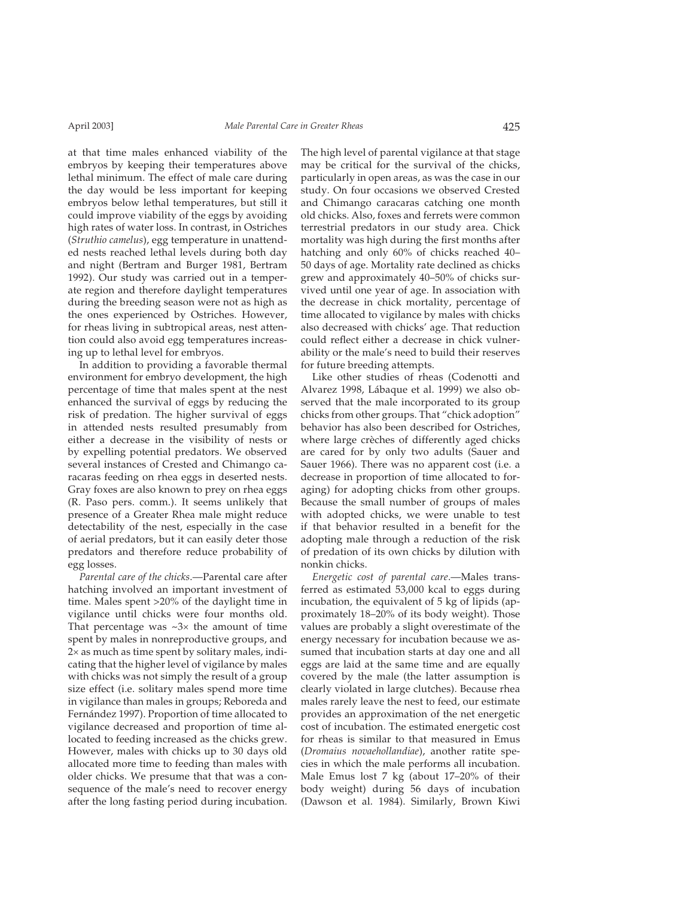at that time males enhanced viability of the embryos by keeping their temperatures above lethal minimum. The effect of male care during the day would be less important for keeping embryos below lethal temperatures, but still it could improve viability of the eggs by avoiding high rates of water loss. In contrast, in Ostriches (*Struthio camelus*), egg temperature in unattended nests reached lethal levels during both day and night (Bertram and Burger 1981, Bertram 1992). Our study was carried out in a temperate region and therefore daylight temperatures during the breeding season were not as high as the ones experienced by Ostriches. However, for rheas living in subtropical areas, nest attention could also avoid egg temperatures increasing up to lethal level for embryos.

In addition to providing a favorable thermal environment for embryo development, the high percentage of time that males spent at the nest enhanced the survival of eggs by reducing the risk of predation. The higher survival of eggs in attended nests resulted presumably from either a decrease in the visibility of nests or by expelling potential predators. We observed several instances of Crested and Chimango caracaras feeding on rhea eggs in deserted nests. Gray foxes are also known to prey on rhea eggs (R. Paso pers. comm.). It seems unlikely that presence of a Greater Rhea male might reduce detectability of the nest, especially in the case of aerial predators, but it can easily deter those predators and therefore reduce probability of egg losses.

*Parental care of the chicks*.—Parental care after hatching involved an important investment of time. Males spent >20% of the daylight time in vigilance until chicks were four months old. That percentage was  $\sim 3 \times$  the amount of time spent by males in nonreproductive groups, and  $2\times$  as much as time spent by solitary males, indicating that the higher level of vigilance by males with chicks was not simply the result of a group size effect (i.e. solitary males spend more time in vigilance than males in groups; Reboreda and Fernández 1997). Proportion of time allocated to vigilance decreased and proportion of time allocated to feeding increased as the chicks grew. However, males with chicks up to 30 days old allocated more time to feeding than males with older chicks. We presume that that was a consequence of the male's need to recover energy after the long fasting period during incubation.

The high level of parental vigilance at that stage may be critical for the survival of the chicks, particularly in open areas, as was the case in our study. On four occasions we observed Crested and Chimango caracaras catching one month old chicks. Also, foxes and ferrets were common terrestrial predators in our study area. Chick mortality was high during the first months after hatching and only 60% of chicks reached 40– 50 days of age. Mortality rate declined as chicks grew and approximately 40–50% of chicks survived until one year of age. In association with the decrease in chick mortality, percentage of time allocated to vigilance by males with chicks also decreased with chicks' age. That reduction could reflect either a decrease in chick vulnerability or the male's need to build their reserves for future breeding attempts.

Like other studies of rheas (Codenotti and Alvarez 1998, Lábaque et al. 1999) we also observed that the male incorporated to its group chicks from other groups. That "chick adoption" behavior has also been described for Ostriches, where large crèches of differently aged chicks are cared for by only two adults (Sauer and Sauer 1966). There was no apparent cost (i.e. a decrease in proportion of time allocated to foraging) for adopting chicks from other groups. Because the small number of groups of males with adopted chicks, we were unable to test if that behavior resulted in a benefit for the adopting male through a reduction of the risk of predation of its own chicks by dilution with nonkin chicks.

*Energetic cost of parental care*.—Males transferred as estimated 53,000 kcal to eggs during incubation, the equivalent of 5 kg of lipids (approximately 18–20% of its body weight). Those values are probably a slight overestimate of the energy necessary for incubation because we assumed that incubation starts at day one and all eggs are laid at the same time and are equally covered by the male (the latter assumption is clearly violated in large clutches). Because rhea males rarely leave the nest to feed, our estimate provides an approximation of the net energetic cost of incubation. The estimated energetic cost for rheas is similar to that measured in Emus (*Dromaius novaehollandiae*), another ratite species in which the male performs all incubation. Male Emus lost 7 kg (about 17–20% of their body weight) during 56 days of incubation (Dawson et al. 1984). Similarly, Brown Kiwi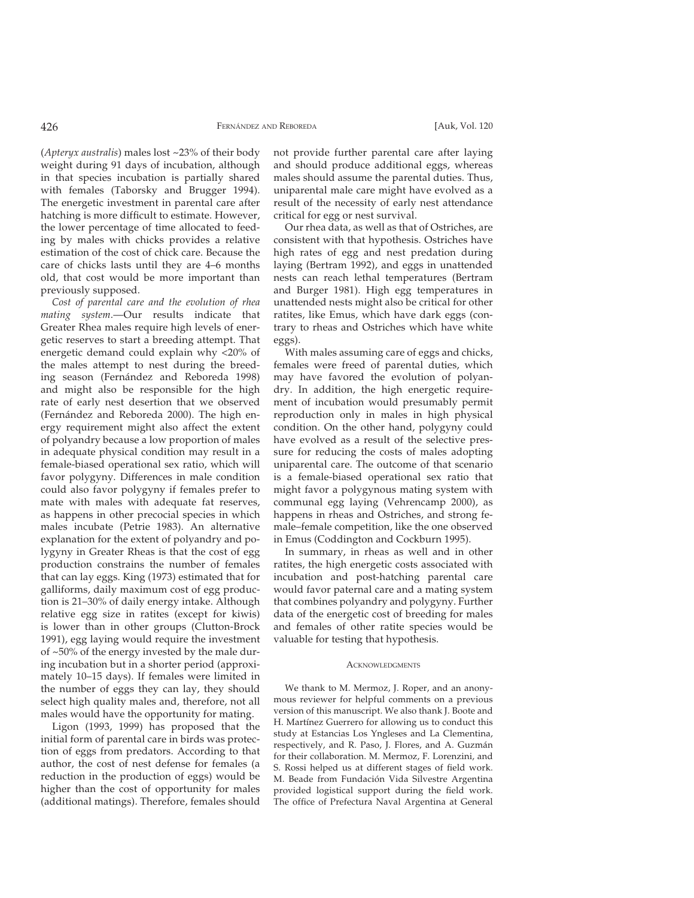(*Apteryx australis*) males lost ~23% of their body weight during 91 days of incubation, although in that species incubation is partially shared with females (Taborsky and Brugger 1994). The energetic investment in parental care after hatching is more difficult to estimate. However, the lower percentage of time allocated to feeding by males with chicks provides a relative estimation of the cost of chick care. Because the care of chicks lasts until they are 4–6 months old, that cost would be more important than previously supposed.

*Cost of parental care and the evolution of rhea mating system*.—Our results indicate that Greater Rhea males require high levels of energetic reserves to start a breeding attempt. That energetic demand could explain why <20% of the males attempt to nest during the breeding season (Fernández and Reboreda 1998) and might also be responsible for the high rate of early nest desertion that we observed (Fernández and Reboreda 2000). The high energy requirement might also affect the extent of polyandry because a low proportion of males in adequate physical condition may result in a female-biased operational sex ratio, which will favor polygyny. Differences in male condition could also favor polygyny if females prefer to mate with males with adequate fat reserves, as happens in other precocial species in which males incubate (Petrie 1983). An alternative explanation for the extent of polyandry and polygyny in Greater Rheas is that the cost of egg production constrains the number of females that can lay eggs. King (1973) estimated that for galliforms, daily maximum cost of egg production is 21–30% of daily energy intake. Although relative egg size in ratites (except for kiwis) is lower than in other groups (Clutton-Brock 1991), egg laying would require the investment of  $\sim$  50% of the energy invested by the male during incubation but in a shorter period (approximately 10–15 days). If females were limited in the number of eggs they can lay, they should select high quality males and, therefore, not all males would have the opportunity for mating.

Ligon (1993, 1999) has proposed that the initial form of parental care in birds was protection of eggs from predators. According to that author, the cost of nest defense for females (a reduction in the production of eggs) would be higher than the cost of opportunity for males (additional matings). Therefore, females should not provide further parental care after laying and should produce additional eggs, whereas males should assume the parental duties. Thus, uniparental male care might have evolved as a result of the necessity of early nest attendance critical for egg or nest survival.

Our rhea data, as well as that of Ostriches, are consistent with that hypothesis. Ostriches have high rates of egg and nest predation during laying (Bertram 1992), and eggs in unattended nests can reach lethal temperatures (Bertram and Burger 1981). High egg temperatures in unattended nests might also be critical for other ratites, like Emus, which have dark eggs (contrary to rheas and Ostriches which have white eggs).

With males assuming care of eggs and chicks, females were freed of parental duties, which may have favored the evolution of polyandry. In addition, the high energetic requirement of incubation would presumably permit reproduction only in males in high physical condition. On the other hand, polygyny could have evolved as a result of the selective pressure for reducing the costs of males adopting uniparental care. The outcome of that scenario is a female-biased operational sex ratio that might favor a polygynous mating system with communal egg laying (Vehrencamp 2000), as happens in rheas and Ostriches, and strong female–female competition, like the one observed in Emus (Coddington and Cockburn 1995).

In summary, in rheas as well and in other ratites, the high energetic costs associated with incubation and post-hatching parental care would favor paternal care and a mating system that combines polyandry and polygyny. Further data of the energetic cost of breeding for males and females of other ratite species would be valuable for testing that hypothesis.

#### **ACKNOWLEDGMENTS**

We thank to M. Mermoz, J. Roper, and an anonymous reviewer for helpful comments on a previous version of this manuscript. We also thank J. Boote and H. Martínez Guerrero for allowing us to conduct this study at Estancias Los Yngleses and La Clementina, respectively, and R. Paso, J. Flores, and A. Guzmán for their collaboration. M. Mermoz, F. Lorenzini, and S. Rossi helped us at different stages of field work. M. Beade from Fundación Vida Silvestre Argentina provided logistical support during the field work. The office of Prefectura Naval Argentina at General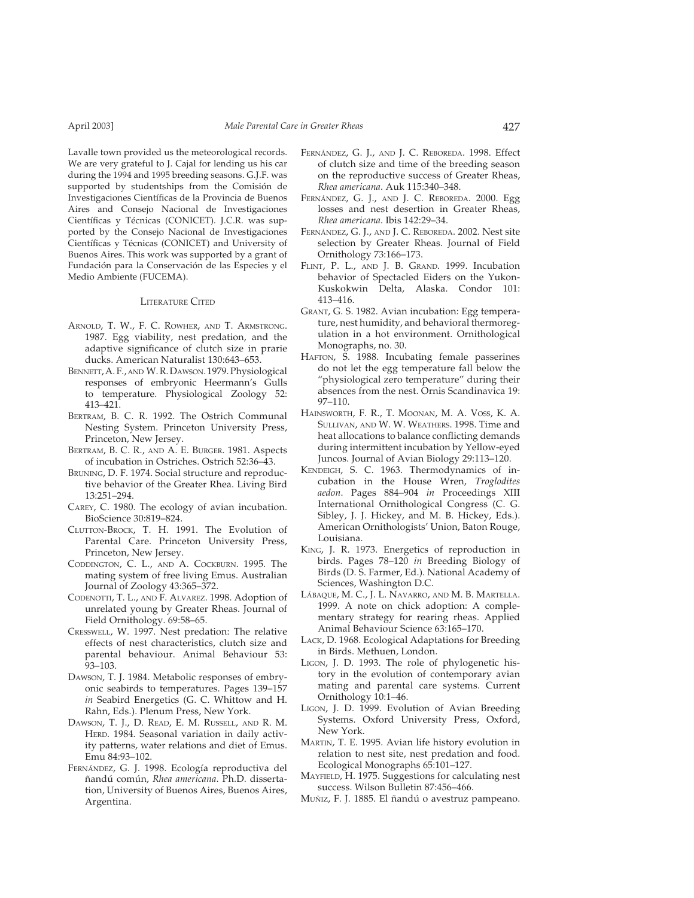Lavalle town provided us the meteorological records. We are very grateful to J. Cajal for lending us his car during the 1994 and 1995 breeding seasons. G.J.F. was supported by studentships from the Comisión de Investigaciones Científicas de la Provincia de Buenos Aires and Consejo Nacional de Investigaciones Científicas y Técnicas (CONICET). J.C.R. was supported by the Consejo Nacional de Investigaciones Científicas y Técnicas (CONICET) and University of Buenos Aires. This work was supported by a grant of Fundación para la Conservación de las Especies y el Medio Ambiente (FUCEMA).

### LITERATURE CITED

- ARNOLD, T. W., F. C. ROWHER, AND T. ARMSTRONG. 1987. Egg viability, nest predation, and the adaptive significance of clutch size in prarie ducks. American Naturalist 130:643–653.
- BENNETT, A. F., AND W. R. DAWSON. 1979. Physiological responses of embryonic Heermann's Gulls to temperature. Physiological Zoology 52: 413–421.
- BERTRAM, B. C. R. 1992. The Ostrich Communal Nesting System. Princeton University Press, Princeton, New Jersey.
- BERTRAM, B. C. R., AND A. E. BURGER. 1981. Aspects of incubation in Ostriches. Ostrich 52:36–43.
- BRUNING, D. F. 1974. Social structure and reproductive behavior of the Greater Rhea. Living Bird 13:251–294.
- CAREY, C. 1980. The ecology of avian incubation. BioScience 30:819–824.
- CLUTTON-BROCK, T. H. 1991. The Evolution of Parental Care. Princeton University Press, Princeton, New Jersey.
- CODDINGTON, C. L., AND A. COCKBURN. 1995. The mating system of free living Emus. Australian Journal of Zoology 43:365–372.
- CODENOTTI, T. L., AND F. ALVAREZ. 1998. Adoption of unrelated young by Greater Rheas. Journal of Field Ornithology. 69:58–65.
- CRESSWELL, W. 1997. Nest predation: The relative effects of nest characteristics, clutch size and parental behaviour. Animal Behaviour 53: 93–103.
- DAWSON, T. J. 1984. Metabolic responses of embryonic seabirds to temperatures. Pages 139–157 *in* Seabird Energetics (G. C. Whittow and H. Rahn, Eds.). Plenum Press, New York.
- DAWSON, T. J., D. READ, E. M. RUSSELL, AND R. M. HERD. 1984. Seasonal variation in daily activity patterns, water relations and diet of Emus. Emu 84:93–102.
- FERNÁNDEZ, G. J. 1998. Ecología reproductiva del ñandú común, *Rhea americana*. Ph.D. dissertation, University of Buenos Aires, Buenos Aires, Argentina.
- FERNÁNDEZ, G. J., AND J. C. REBOREDA. 1998. Effect of clutch size and time of the breeding season on the reproductive success of Greater Rheas, *Rhea americana*. Auk 115:340–348.
- FERNÁNDEZ, G. J., AND J. C. REBOREDA. 2000. Egg losses and nest desertion in Greater Rheas, *Rhea americana*. Ibis 142:29–34.
- FERNÁNDEZ, G. J., AND J. C. REBOREDA. 2002. Nest site selection by Greater Rheas. Journal of Field Ornithology 73:166–173.
- FLINT, P. L., AND J. B. GRAND. 1999. Incubation behavior of Spectacled Eiders on the Yukon-Kuskokwin Delta, Alaska. Condor 101: 413–416.
- GRANT, G. S. 1982. Avian incubation: Egg temperature, nest humidity, and behavioral thermoregulation in a hot environment. Ornithological Monographs, no. 30.
- HAFTON, S. 1988. Incubating female passerines do not let the egg temperature fall below the "physiological zero temperature" during their absences from the nest. Ornis Scandinavica 19: 97–110.
- HAINSWORTH, F. R., T. MOONAN, M. A. VOSS, K. A. SULLIVAN, AND W. W. WEATHERS. 1998. Time and heat allocations to balance conflicting demands during intermittent incubation by Yellow-eyed Juncos. Journal of Avian Biology 29:113–120.
- KENDEIGH, S. C. 1963. Thermodynamics of incubation in the House Wren, *Troglodites aedon*. Pages 884–904 *in* Proceedings XIII International Ornithological Congress (C. G. Sibley, J. J. Hickey, and M. B. Hickey, Eds.). American Ornithologists' Union, Baton Rouge, Louisiana.
- KING, J. R. 1973. Energetics of reproduction in birds. Pages 78–120 *in* Breeding Biology of Birds (D. S. Farmer, Ed.). National Academy of Sciences, Washington D.C.
- LÁBAQUE, M. C., J. L. NAVARRO, AND M. B. MARTELLA. 1999. A note on chick adoption: A complementary strategy for rearing rheas. Applied Animal Behaviour Science 63:165–170.
- LACK, D. 1968. Ecological Adaptations for Breeding in Birds. Methuen, London.
- LIGON, J. D. 1993. The role of phylogenetic history in the evolution of contemporary avian mating and parental care systems. Current Ornithology 10:1–46.
- LIGON, J. D. 1999. Evolution of Avian Breeding Systems. Oxford University Press, Oxford, New York.
- MARTIN, T. E. 1995. Avian life history evolution in relation to nest site, nest predation and food. Ecological Monographs 65:101–127.
- MAYFIELD, H. 1975. Suggestions for calculating nest success. Wilson Bulletin 87:456–466.
- MUÑIZ, F. J. 1885. El ñandú o avestruz pampeano.